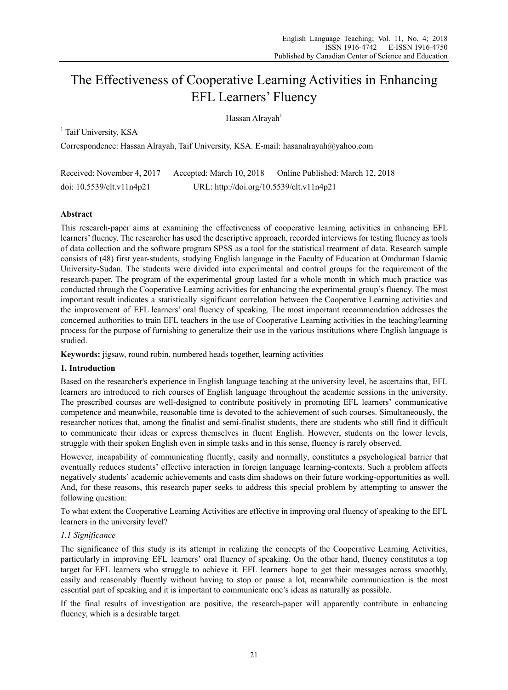# The Effectiveness of Cooperative Learning Activities in Enhancing EFL Learners' Fluency

Hassan Alrayah<sup>1</sup>

<sup>1</sup> Taif University, KSA

Correspondence: Hassan Alrayah, Taif University, KSA. E-mail: hasanalrayah@yahoo.com

| Received: November 4, 2017      | Accepted: March 10, 2018                 | Online Published: March 12, 2018 |
|---------------------------------|------------------------------------------|----------------------------------|
| doi: $10.5539$ /elt.v $11n4p21$ | URL: http://doi.org/10.5539/elt.v11n4p21 |                                  |

# **Abstract**

This research-paper aims at examining the effectiveness of cooperative learning activities in enhancing EFL learners' fluency. The researcher has used the descriptive approach, recorded interviews for testing fluency as tools of data collection and the software program SPSS as a tool for the statistical treatment of data. Research sample consists of (48) first year-students, studying English language in the Faculty of Education at Omdurman Islamic University-Sudan. The students were divided into experimental and control groups for the requirement of the research-paper. The program of the experimental group lasted for a whole month in which much practice was conducted through the Cooperative Learning activities for enhancing the experimental group's fluency. The most important result indicates a statistically significant correlation between the Cooperative Learning activities and the improvement of EFL learners' oral fluency of speaking. The most important recommendation addresses the concerned authorities to train EFL teachers in the use of Cooperative Learning activities in the teaching/learning process for the purpose of furnishing to generalize their use in the various institutions where English language is studied.

**Keywords:** jigsaw, round robin, numbered heads together, learning activities

# **1. Introduction**

Based on the researcher's experience in English language teaching at the university level, he ascertains that, EFL learners are introduced to rich courses of English language throughout the academic sessions in the university. The prescribed courses are well-designed to contribute positively in promoting EFL learners' communicative competence and meanwhile, reasonable time is devoted to the achievement of such courses. Simultaneously, the researcher notices that, among the finalist and semi-finalist students, there are students who still find it difficult to communicate their ideas or express themselves in fluent English. However, students on the lower levels, struggle with their spoken English even in simple tasks and in this sense, fluency is rarely observed.

However, incapability of communicating fluently, easily and normally, constitutes a psychological barrier that eventually reduces students' effective interaction in foreign language learning-contexts. Such a problem affects negatively students' academic achievements and casts dim shadows on their future working-opportunities as well. And, for these reasons, this research paper seeks to address this special problem by attempting to answer the following question:

To what extent the Cooperative Learning Activities are effective in improving oral fluency of speaking to the EFL learners in the university level?

# *1.1 Significance*

The significance of this study is its attempt in realizing the concepts of the Cooperative Learning Activities, particularly in improving EFL learners' oral fluency of speaking. On the other hand, fluency constitutes a top target for EFL learners who struggle to achieve it. EFL learners hope to get their messages across smoothly, easily and reasonably fluently without having to stop or pause a lot, meanwhile communication is the most essential part of speaking and it is important to communicate one's ideas as naturally as possible.

If the final results of investigation are positive, the research-paper will apparently contribute in enhancing fluency, which is a desirable target.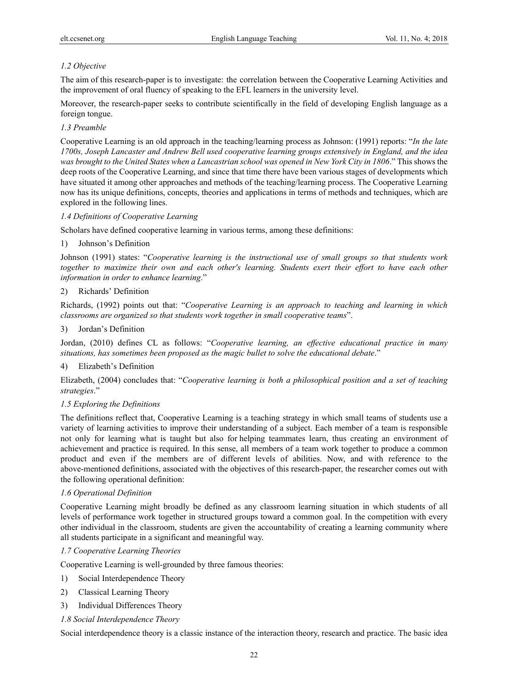# *1.2 Objective*

The aim of this research-paper is to investigate: the correlation between the Cooperative Learning Activities and the improvement of oral fluency of speaking to the EFL learners in the university level.

Moreover, the research-paper seeks to contribute scientifically in the field of developing English language as a foreign tongue.

# *1.3 Preamble*

Cooperative Learning is an old approach in the teaching/learning process as Johnson: (1991) reports: "*In the late 1700s, Joseph Lancaster and Andrew Bell used cooperative learning groups extensively in England, and the idea was brought to the United States when a Lancastrian school was opened in New York City in 1806*." This shows the deep roots of the Cooperative Learning, and since that time there have been various stages of developments which have situated it among other approaches and methods of the teaching/learning process. The Cooperative Learning now has its unique definitions, concepts, theories and applications in terms of methods and techniques, which are explored in the following lines.

# *1.4 Definitions of Cooperative Learning*

Scholars have defined cooperative learning in various terms, among these definitions:

# 1) Johnson's Definition

Johnson (1991) states: "*Cooperative learning is the instructional use of small groups so that students work together to maximize their own and each other's learning. Students exert their effort to have each other information in order to enhance learning*."

# 2) Richards' Definition

Richards, (1992) points out that: "*Cooperative Learning is an approach to teaching and learning in which classrooms are organized so that students work together in small cooperative teams*".

# 3) Jordan's Definition

Jordan, (2010) defines CL as follows: "*Cooperative learning, an effective educational practice in many situations, has sometimes been proposed as the magic bullet to solve the educational debate*."

# 4) Elizabeth's Definition

Elizabeth, (2004) concludes that: "*Cooperative learning is both a philosophical position and a set of teaching strategies*."

# *1.5 Exploring the Definitions*

The definitions reflect that, Cooperative Learning is a teaching strategy in which small teams of students use a variety of learning activities to improve their understanding of a subject. Each member of a team is responsible not only for learning what is taught but also for helping teammates learn, thus creating an environment of achievement and practice is required. In this sense, all members of a team work together to produce a common product and even if the members are of different levels of abilities. Now, and with reference to the above-mentioned definitions, associated with the objectives of this research-paper, the researcher comes out with the following operational definition:

# *1.6 Operational Definition*

Cooperative Learning might broadly be defined as any classroom learning situation in which students of all levels of performance work together in structured groups toward a common goal. In the competition with every other individual in the classroom, students are given the accountability of creating a learning community where all students participate in a significant and meaningful way.

# *1.7 Cooperative Learning Theories*

Cooperative Learning is well-grounded by three famous theories:

- 1) Social Interdependence Theory
- 2) Classical Learning Theory
- 3) Individual Differences Theory

# *1.8 Social Interdependence Theory*

Social interdependence theory is a classic instance of the interaction theory, research and practice. The basic idea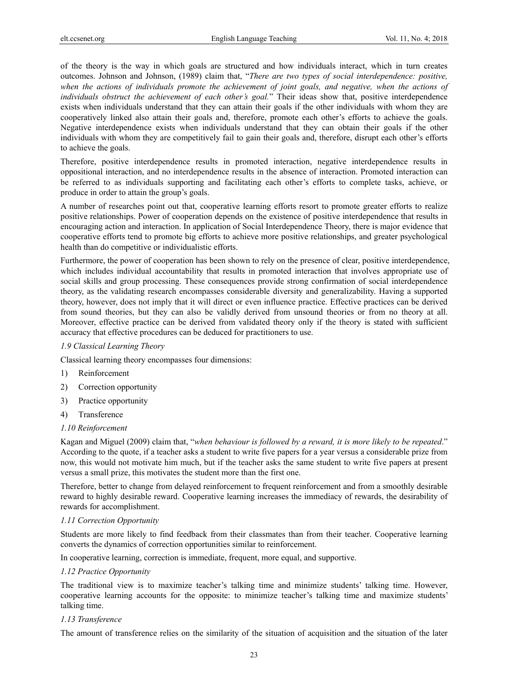of the theory is the way in which goals are structured and how individuals interact, which in turn creates outcomes. Johnson and Johnson, (1989) claim that, "*There are two types of social interdependence: positive, when the actions of individuals promote the achievement of joint goals, and negative, when the actions of individuals obstruct the achievement of each other's goal.*" Their ideas show that, positive interdependence exists when individuals understand that they can attain their goals if the other individuals with whom they are cooperatively linked also attain their goals and, therefore, promote each other's efforts to achieve the goals. Negative interdependence exists when individuals understand that they can obtain their goals if the other individuals with whom they are competitively fail to gain their goals and, therefore, disrupt each other's efforts to achieve the goals.

Therefore, positive interdependence results in promoted interaction, negative interdependence results in oppositional interaction, and no interdependence results in the absence of interaction. Promoted interaction can be referred to as individuals supporting and facilitating each other's efforts to complete tasks, achieve, or produce in order to attain the group's goals.

A number of researches point out that, cooperative learning efforts resort to promote greater efforts to realize positive relationships. Power of cooperation depends on the existence of positive interdependence that results in encouraging action and interaction. In application of Social Interdependence Theory, there is major evidence that cooperative efforts tend to promote big efforts to achieve more positive relationships, and greater psychological health than do competitive or individualistic efforts.

Furthermore, the power of cooperation has been shown to rely on the presence of clear, positive interdependence, which includes individual accountability that results in promoted interaction that involves appropriate use of social skills and group processing. These consequences provide strong confirmation of social interdependence theory, as the validating research encompasses considerable diversity and generalizability. Having a supported theory, however, does not imply that it will direct or even influence practice. Effective practices can be derived from sound theories, but they can also be validly derived from unsound theories or from no theory at all. Moreover, effective practice can be derived from validated theory only if the theory is stated with sufficient accuracy that effective procedures can be deduced for practitioners to use.

#### *1.9 Classical Learning Theory*

Classical learning theory encompasses four dimensions:

- 1) Reinforcement
- 2) Correction opportunity
- 3) Practice opportunity
- 4) Transference
- *1.10 Reinforcement*

Kagan and Miguel (2009) claim that, "*when behaviour is followed by a reward, it is more likely to be repeated*." According to the quote, if a teacher asks a student to write five papers for a year versus a considerable prize from now, this would not motivate him much, but if the teacher asks the same student to write five papers at present versus a small prize, this motivates the student more than the first one.

Therefore, better to change from delayed reinforcement to frequent reinforcement and from a smoothly desirable reward to highly desirable reward. Cooperative learning increases the immediacy of rewards, the desirability of rewards for accomplishment.

#### *1.11 Correction Opportunity*

Students are more likely to find feedback from their classmates than from their teacher. Cooperative learning converts the dynamics of correction opportunities similar to reinforcement.

In cooperative learning, correction is immediate, frequent, more equal, and supportive.

#### *1.12 Practice Opportunity*

The traditional view is to maximize teacher's talking time and minimize students' talking time. However, cooperative learning accounts for the opposite: to minimize teacher's talking time and maximize students' talking time.

#### *1.13 Transference*

The amount of transference relies on the similarity of the situation of acquisition and the situation of the later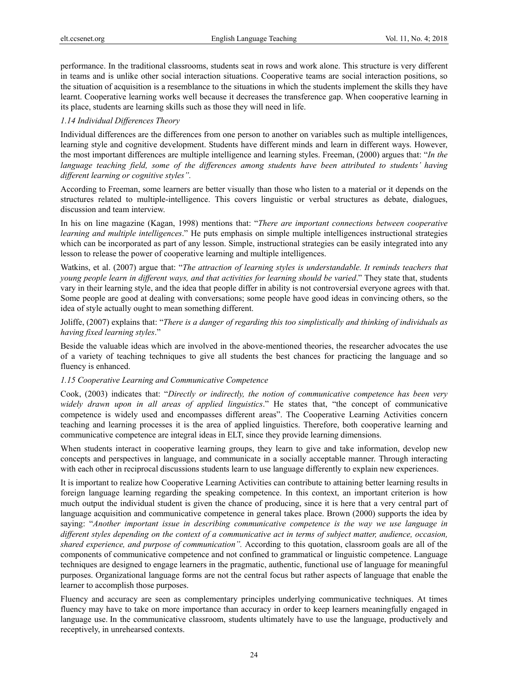performance. In the traditional classrooms, students seat in rows and work alone. This structure is very different in teams and is unlike other social interaction situations. Cooperative teams are social interaction positions, so the situation of acquisition is a resemblance to the situations in which the students implement the skills they have learnt. Cooperative learning works well because it decreases the transference gap. When cooperative learning in its place, students are learning skills such as those they will need in life.

#### *1.14 Individual Differences Theory*

Individual differences are the differences from one person to another on variables such as multiple intelligences, learning style and cognitive development. Students have different minds and learn in different ways. However, the most important differences are multiple intelligence and learning styles. Freeman, (2000) argues that: "*In the language teaching field, some of the differences among students have been attributed to students' having different learning or cognitive styles".* 

According to Freeman, some learners are better visually than those who listen to a material or it depends on the structures related to multiple-intelligence. This covers linguistic or verbal structures as debate, dialogues, discussion and team interview.

In his on line magazine (Kagan, 1998) mentions that: "*There are important connections between cooperative learning and multiple intelligences*." He puts emphasis on simple multiple intelligences instructional strategies which can be incorporated as part of any lesson. Simple, instructional strategies can be easily integrated into any lesson to release the power of cooperative learning and multiple intelligences.

Watkins, et al. (2007) argue that: "*The attraction of learning styles is understandable. It reminds teachers that young people learn in different ways, and that activities for learning should be varied*." They state that, students vary in their learning style, and the idea that people differ in ability is not controversial everyone agrees with that. Some people are good at dealing with conversations; some people have good ideas in convincing others, so the idea of style actually ought to mean something different.

Joliffe, (2007) explains that: "*There is a danger of regarding this too simplistically and thinking of individuals as having fixed learning styles*."

Beside the valuable ideas which are involved in the above-mentioned theories, the researcher advocates the use of a variety of teaching techniques to give all students the best chances for practicing the language and so fluency is enhanced.

#### *1.15 Cooperative Learning and Communicative Competence*

Cook, (2003) indicates that: "*Directly or indirectly, the notion of communicative competence has been very widely drawn upon in all areas of applied linguistics*." He states that, "the concept of communicative competence is widely used and encompasses different areas". The Cooperative Learning Activities concern teaching and learning processes it is the area of applied linguistics. Therefore, both cooperative learning and communicative competence are integral ideas in ELT, since they provide learning dimensions.

When students interact in cooperative learning groups, they learn to give and take information, develop new concepts and perspectives in language, and communicate in a socially acceptable manner. Through interacting with each other in reciprocal discussions students learn to use language differently to explain new experiences.

It is important to realize how Cooperative Learning Activities can contribute to attaining better learning results in foreign language learning regarding the speaking competence. In this context, an important criterion is how much output the individual student is given the chance of producing, since it is here that a very central part of language acquisition and communicative competence in general takes place. Brown (2000) supports the idea by saying: "*Another important issue in describing communicative competence is the way we use language in different styles depending on the context of a communicative act in terms of subject matter, audience, occasion, shared experience, and purpose of communication".* According to this quotation, classroom goals are all of the components of communicative competence and not confined to grammatical or linguistic competence. Language techniques are designed to engage learners in the pragmatic, authentic, functional use of language for meaningful purposes. Organizational language forms are not the central focus but rather aspects of language that enable the learner to accomplish those purposes.

Fluency and accuracy are seen as complementary principles underlying communicative techniques. At times fluency may have to take on more importance than accuracy in order to keep learners meaningfully engaged in language use. In the communicative classroom, students ultimately have to use the language, productively and receptively, in unrehearsed contexts.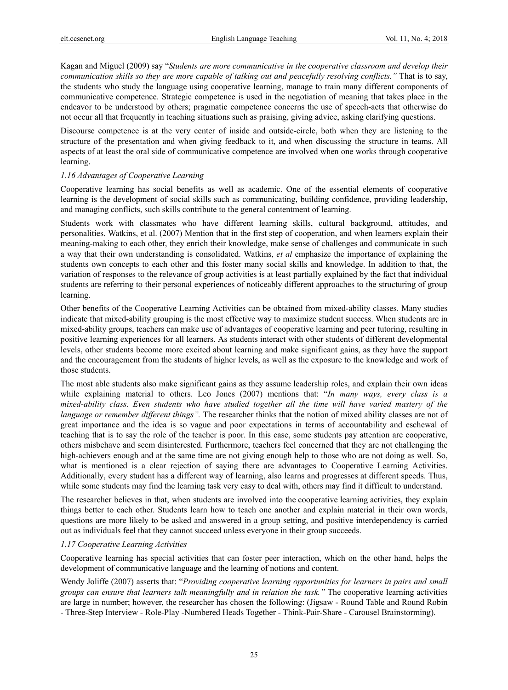Kagan and Miguel (2009) say "*Students are more communicative in the cooperative classroom and develop their communication skills so they are more capable of talking out and peacefully resolving conflicts."* That is to say, the students who study the language using cooperative learning, manage to train many different components of communicative competence. Strategic competence is used in the negotiation of meaning that takes place in the endeavor to be understood by others; pragmatic competence concerns the use of speech-acts that otherwise do not occur all that frequently in teaching situations such as praising, giving advice, asking clarifying questions.

Discourse competence is at the very center of inside and outside-circle, both when they are listening to the structure of the presentation and when giving feedback to it, and when discussing the structure in teams. All aspects of at least the oral side of communicative competence are involved when one works through cooperative learning.

# *1.16 Advantages of Cooperative Learning*

Cooperative learning has social benefits as well as academic. One of the essential elements of cooperative learning is the development of social skills such as communicating, building confidence, providing leadership, and managing conflicts, such skills contribute to the general contentment of learning.

Students work with classmates who have different learning skills, cultural background, attitudes, and personalities. Watkins, et al. (2007) Mention that in the first step of cooperation, and when learners explain their meaning-making to each other, they enrich their knowledge, make sense of challenges and communicate in such a way that their own understanding is consolidated. Watkins, *et al* emphasize the importance of explaining the students own concepts to each other and this foster many social skills and knowledge. In addition to that, the variation of responses to the relevance of group activities is at least partially explained by the fact that individual students are referring to their personal experiences of noticeably different approaches to the structuring of group learning.

Other benefits of the Cooperative Learning Activities can be obtained from mixed-ability classes. Many studies indicate that mixed-ability grouping is the most effective way to maximize student success. When students are in mixed-ability groups, teachers can make use of advantages of cooperative learning and peer tutoring, resulting in positive learning experiences for all learners. As students interact with other students of different developmental levels, other students become more excited about learning and make significant gains, as they have the support and the encouragement from the students of higher levels, as well as the exposure to the knowledge and work of those students.

The most able students also make significant gains as they assume leadership roles, and explain their own ideas while explaining material to others. Leo Jones (2007) mentions that: "*In many ways, every class is a mixed-ability class. Even students who have studied together all the time will have varied mastery of the language or remember different things"*. The researcher thinks that the notion of mixed ability classes are not of great importance and the idea is so vague and poor expectations in terms of accountability and eschewal of teaching that is to say the role of the teacher is poor. In this case, some students pay attention are cooperative, others misbehave and seem disinterested. Furthermore, teachers feel concerned that they are not challenging the high-achievers enough and at the same time are not giving enough help to those who are not doing as well. So, what is mentioned is a clear rejection of saying there are advantages to Cooperative Learning Activities. Additionally, every student has a different way of learning, also learns and progresses at different speeds. Thus, while some students may find the learning task very easy to deal with, others may find it difficult to understand.

The researcher believes in that, when students are involved into the cooperative learning activities, they explain things better to each other. Students learn how to teach one another and explain material in their own words, questions are more likely to be asked and answered in a group setting, and positive interdependency is carried out as individuals feel that they cannot succeed unless everyone in their group succeeds.

# *1.17 Cooperative Learning Activities*

Cooperative learning has special activities that can foster peer interaction, which on the other hand, helps the development of communicative language and the learning of notions and content.

Wendy Joliffe (2007) asserts that: "*Providing cooperative learning opportunities for learners in pairs and small groups can ensure that learners talk meaningfully and in relation the task."* The cooperative learning activities are large in number; however, the researcher has chosen the following: (Jigsaw - Round Table and Round Robin - Three-Step Interview - Role-Play -Numbered Heads Together - Think-Pair-Share - Carousel Brainstorming).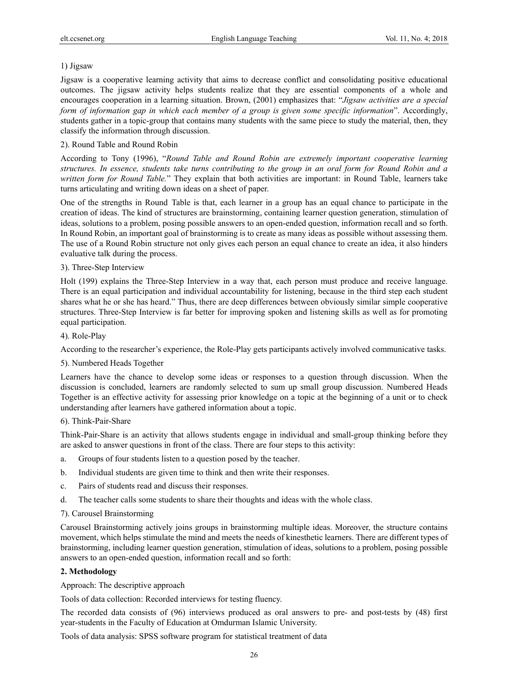# 1) Jigsaw

Jigsaw is a cooperative learning activity that aims to decrease conflict and consolidating positive educational outcomes. The jigsaw activity helps students realize that they are essential components of a whole and encourages cooperation in a learning situation. Brown, (2001) emphasizes that: "*Jigsaw activities are a special form of information gap in which each member of a group is given some specific information*". Accordingly, students gather in a topic-group that contains many students with the same piece to study the material, then, they classify the information through discussion.

# 2). Round Table and Round Robin

According to Tony (1996), "*Round Table and Round Robin are extremely important cooperative learning structures. In essence, students take turns contributing to the group in an oral form for Round Robin and a written form for Round Table.*" They explain that both activities are important: in Round Table, learners take turns articulating and writing down ideas on a sheet of paper.

One of the strengths in Round Table is that, each learner in a group has an equal chance to participate in the creation of ideas. The kind of structures are brainstorming, containing learner question generation, stimulation of ideas, solutions to a problem, posing possible answers to an open-ended question, information recall and so forth. In Round Robin, an important goal of brainstorming is to create as many ideas as possible without assessing them. The use of a Round Robin structure not only gives each person an equal chance to create an idea, it also hinders evaluative talk during the process.

# 3). Three-Step Interview

Holt (199) explains the Three-Step Interview in a way that, each person must produce and receive language. There is an equal participation and individual accountability for listening, because in the third step each student shares what he or she has heard." Thus, there are deep differences between obviously similar simple cooperative structures. Three-Step Interview is far better for improving spoken and listening skills as well as for promoting equal participation.

# 4). Role-Play

According to the researcher's experience, the Role-Play gets participants actively involved communicative tasks.

# 5). Numbered Heads Together

Learners have the chance to develop some ideas or responses to a question through discussion. When the discussion is concluded, learners are randomly selected to sum up small group discussion. Numbered Heads Together is an effective activity for assessing prior knowledge on a topic at the beginning of a unit or to check understanding after learners have gathered information about a topic.

# 6). Think-Pair-Share

Think-Pair-Share is an activity that allows students engage in individual and small-group thinking before they are asked to answer questions in front of the class. There are four steps to this activity:

- a. Groups of four students listen to a question posed by the teacher.
- b. Individual students are given time to think and then write their responses.
- c. Pairs of students read and discuss their responses.
- d. The teacher calls some students to share their thoughts and ideas with the whole class.

# 7). Carousel Brainstorming

Carousel Brainstorming actively joins groups in brainstorming multiple ideas. Moreover, the structure contains movement, which helps stimulate the mind and meets the needs of kinesthetic learners. There are different types of brainstorming, including learner question generation, stimulation of ideas, solutions to a problem, posing possible answers to an open-ended question, information recall and so forth:

# **2. Methodology**

Approach: The descriptive approach

Tools of data collection: Recorded interviews for testing fluency.

The recorded data consists of (96) interviews produced as oral answers to pre- and post-tests by (48) first year-students in the Faculty of Education at Omdurman Islamic University.

Tools of data analysis: SPSS software program for statistical treatment of data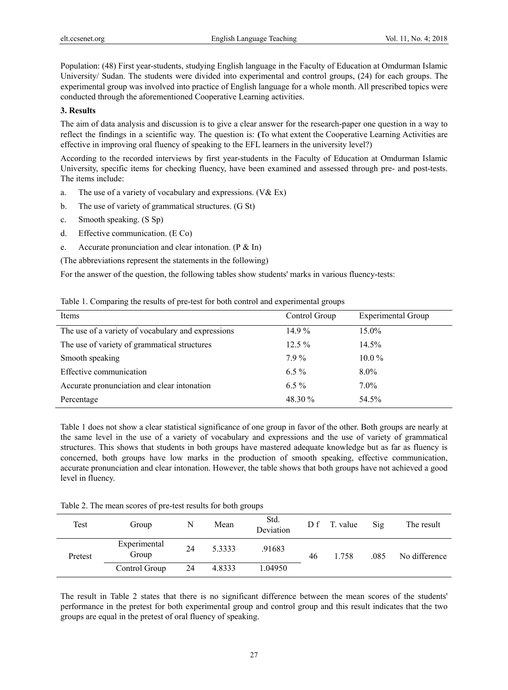Population: (48) First year-students, studying English language in the Faculty of Education at Omdurman Islamic University/ Sudan. The students were divided into experimental and control groups, (24) for each groups. The experimental group was involved into practice of English language for a whole month. All prescribed topics were conducted through the aforementioned Cooperative Learning activities.

# **3. Results**

The aim of data analysis and discussion is to give a clear answer for the research-paper one question in a way to reflect the findings in a scientific way. The question is: **(**To what extent the Cooperative Learning Activities are effective in improving oral fluency of speaking to the EFL learners in the university level?)

According to the recorded interviews by first year-students in the Faculty of Education at Omdurman Islamic University, specific items for checking fluency, have been examined and assessed through pre- and post-tests. The items include:

- a. The use of a variety of vocabulary and expressions. (V& Ex)
- b. The use of variety of grammatical structures. (G St)
- c. Smooth speaking. (S Sp)
- d. Effective communication. (E Co)
- e. Accurate pronunciation and clear intonation. (P & In)

(The abbreviations represent the statements in the following)

For the answer of the question, the following tables show students' marks in various fluency-tests:

| Table 1. Comparing the results of pre-test for both control and experimental groups |               |                           |  |  |  |
|-------------------------------------------------------------------------------------|---------------|---------------------------|--|--|--|
| Items                                                                               | Control Group | <b>Experimental Group</b> |  |  |  |
| The use of a variety of vocabulary and expressions                                  | $14.9\%$      | 15.0%                     |  |  |  |
| The use of variety of grammatical structures                                        | $12.5\%$      | 14.5%                     |  |  |  |
| Smooth speaking                                                                     | $7.9\%$       | $10.0\%$                  |  |  |  |
| Effective communication                                                             | $6.5\%$       | $8.0\%$                   |  |  |  |
| Accurate pronunciation and clear intonation                                         | $6.5\%$       | $7.0\%$                   |  |  |  |

Percentage  $48.30\%$  54.5%

Table 1. Comparing the results of pre-test for both control and experimental groups

Table 1 does not show a clear statistical significance of one group in favor of the other. Both groups are nearly at the same level in the use of a variety of vocabulary and expressions and the use of variety of grammatical structures. This shows that students in both groups have mastered adequate knowledge but as far as fluency is concerned, both groups have low marks in the production of smooth speaking, effective communication, accurate pronunciation and clear intonation. However, the table shows that both groups have not achieved a good level in fluency.

| Test    | Group                 | N  | Mean   | Std.<br>Deviation |    | D f T. value | Sig  | The result    |
|---------|-----------------------|----|--------|-------------------|----|--------------|------|---------------|
| Pretest | Experimental<br>Group | 24 | 5.3333 | .91683            | 46 | 1.758        | .085 | No difference |
|         | Control Group         | 24 | 4.8333 | 1.04950           |    |              |      |               |

Table 2. The mean scores of pre-test results for both groups

The result in Table 2 states that there is no significant difference between the mean scores of the students' performance in the pretest for both experimental group and control group and this result indicates that the two groups are equal in the pretest of oral fluency of speaking.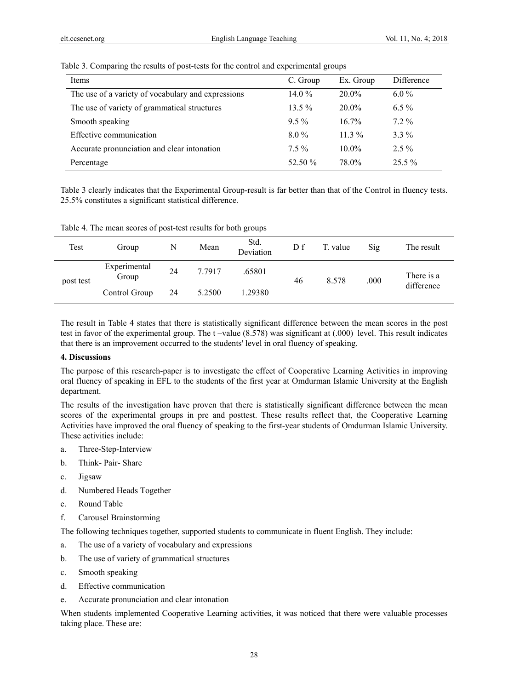| Items                                              | C. Group  | Ex. Group | Difference |
|----------------------------------------------------|-----------|-----------|------------|
| The use of a variety of vocabulary and expressions | 14.0 $\%$ | $20.0\%$  | 6.0 $\%$   |
| The use of variety of grammatical structures       | $13.5\%$  | $20.0\%$  | $6.5\%$    |
| Smooth speaking                                    | $9.5\%$   | $16.7\%$  | $7.2\%$    |
| Effective communication                            | $8.0\%$   | $11.3\%$  | $3.3\%$    |
| Accurate pronunciation and clear intonation        | $7.5\%$   | $10.0\%$  | $2.5\%$    |
| Percentage                                         | 52.50 %   | 78.0%     | $25.5\%$   |

# Table 3. Comparing the results of post-tests for the control and experimental groups

Table 3 clearly indicates that the Experimental Group-result is far better than that of the Control in fluency tests. 25.5% constitutes a significant statistical difference.

| Test      | Group                 | N  | Mean      | Std.<br>Deviation | D f | T. value | Sig  | The result |
|-----------|-----------------------|----|-----------|-------------------|-----|----------|------|------------|
| post test | Experimental<br>Group | 24 | 7 7 9 1 7 | .65801            | 46  | 8.578    | .000 | There is a |
|           | Control Group         | 24 | 5.2500    | 1.29380           |     |          |      | difference |

Table 4. The mean scores of post-test results for both groups

The result in Table 4 states that there is statistically significant difference between the mean scores in the post test in favor of the experimental group. The t –value (8.578) was significant at (.000) level. This result indicates that there is an improvement occurred to the students' level in oral fluency of speaking.

# **4. Discussions**

The purpose of this research-paper is to investigate the effect of Cooperative Learning Activities in improving oral fluency of speaking in EFL to the students of the first year at Omdurman Islamic University at the English department.

The results of the investigation have proven that there is statistically significant difference between the mean scores of the experimental groups in pre and posttest. These results reflect that, the Cooperative Learning Activities have improved the oral fluency of speaking to the first-year students of Omdurman Islamic University. These activities include:

- a. Three-Step-Interview
- b. Think- Pair- Share
- c. Jigsaw
- d. Numbered Heads Together
- e. Round Table
- f. Carousel Brainstorming

The following techniques together, supported students to communicate in fluent English. They include:

- a. The use of a variety of vocabulary and expressions
- b. The use of variety of grammatical structures
- c. Smooth speaking
- d. Effective communication
- e. Accurate pronunciation and clear intonation

When students implemented Cooperative Learning activities, it was noticed that there were valuable processes taking place. These are: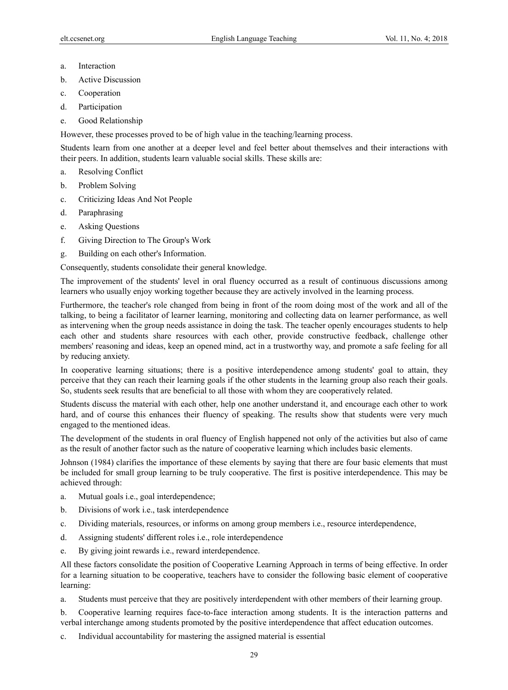- a. Interaction
- b. Active Discussion
- c. Cooperation
- d. Participation
- e. Good Relationship

However, these processes proved to be of high value in the teaching/learning process.

Students learn from one another at a deeper level and feel better about themselves and their interactions with their peers. In addition, students learn valuable social skills. These skills are:

- a. Resolving Conflict
- b. Problem Solving
- c. Criticizing Ideas And Not People
- d. Paraphrasing
- e. Asking Questions
- f. Giving Direction to The Group's Work
- g. Building on each other's Information.

Consequently, students consolidate their general knowledge.

The improvement of the students' level in oral fluency occurred as a result of continuous discussions among learners who usually enjoy working together because they are actively involved in the learning process.

Furthermore, the teacher's role changed from being in front of the room doing most of the work and all of the talking, to being a facilitator of learner learning, monitoring and collecting data on learner performance, as well as intervening when the group needs assistance in doing the task. The teacher openly encourages students to help each other and students share resources with each other, provide constructive feedback, challenge other members' reasoning and ideas, keep an opened mind, act in a trustworthy way, and promote a safe feeling for all by reducing anxiety.

In cooperative learning situations; there is a positive interdependence among students' goal to attain, they perceive that they can reach their learning goals if the other students in the learning group also reach their goals. So, students seek results that are beneficial to all those with whom they are cooperatively related.

Students discuss the material with each other, help one another understand it, and encourage each other to work hard, and of course this enhances their fluency of speaking. The results show that students were very much engaged to the mentioned ideas.

The development of the students in oral fluency of English happened not only of the activities but also of came as the result of another factor such as the nature of cooperative learning which includes basic elements.

Johnson (1984) clarifies the importance of these elements by saying that there are four basic elements that must be included for small group learning to be truly cooperative. The first is positive interdependence. This may be achieved through:

- a. Mutual goals i.e., goal interdependence;
- b. Divisions of work i.e., task interdependence
- c. Dividing materials, resources, or informs on among group members i.e., resource interdependence,
- d. Assigning students' different roles i.e., role interdependence
- e. By giving joint rewards i.e., reward interdependence.

All these factors consolidate the position of Cooperative Learning Approach in terms of being effective. In order for a learning situation to be cooperative, teachers have to consider the following basic element of cooperative learning:

a. Students must perceive that they are positively interdependent with other members of their learning group.

b. Cooperative learning requires face-to-face interaction among students. It is the interaction patterns and verbal interchange among students promoted by the positive interdependence that affect education outcomes.

c. Individual accountability for mastering the assigned material is essential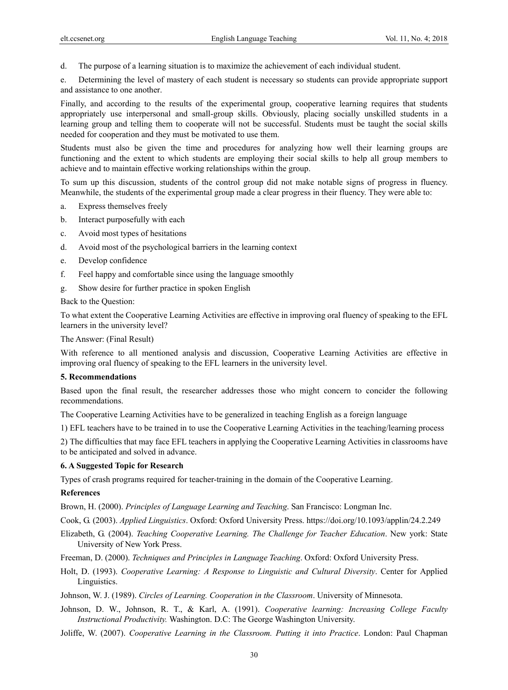d. The purpose of a learning situation is to maximize the achievement of each individual student.

e. Determining the level of mastery of each student is necessary so students can provide appropriate support and assistance to one another.

Finally, and according to the results of the experimental group, cooperative learning requires that students appropriately use interpersonal and small-group skills. Obviously, placing socially unskilled students in a learning group and telling them to cooperate will not be successful. Students must be taught the social skills needed for cooperation and they must be motivated to use them.

Students must also be given the time and procedures for analyzing how well their learning groups are functioning and the extent to which students are employing their social skills to help all group members to achieve and to maintain effective working relationships within the group.

To sum up this discussion, students of the control group did not make notable signs of progress in fluency. Meanwhile, the students of the experimental group made a clear progress in their fluency. They were able to:

- a. Express themselves freely
- b. Interact purposefully with each
- c. Avoid most types of hesitations
- d. Avoid most of the psychological barriers in the learning context
- e. Develop confidence
- f. Feel happy and comfortable since using the language smoothly
- g. Show desire for further practice in spoken English

Back to the Question:

To what extent the Cooperative Learning Activities are effective in improving oral fluency of speaking to the EFL learners in the university level?

The Answer: (Final Result)

With reference to all mentioned analysis and discussion, Cooperative Learning Activities are effective in improving oral fluency of speaking to the EFL learners in the university level.

#### **5. Recommendations**

Based upon the final result, the researcher addresses those who might concern to concider the following recommendations.

The Cooperative Learning Activities have to be generalized in teaching English as a foreign language

1) EFL teachers have to be trained in to use the Cooperative Learning Activities in the teaching/learning process

2) The difficulties that may face EFL teachers in applying the Cooperative Learning Activities in classrooms have to be anticipated and solved in advance.

#### **6. A Suggested Topic for Research**

Types of crash programs required for teacher-training in the domain of the Cooperative Learning.

#### **References**

Brown, H. (2000). *Principles of Language Learning and Teaching*. San Francisco: Longman Inc.

Cook, G. (2003). *Applied Linguistics*. Oxford: Oxford University Press. https://doi.org/10.1093/applin/24.2.249

Elizabeth, G. (2004). *Teaching Cooperative Learning. The Challenge for Teacher Education*. New york: State University of New York Press.

Freeman, D. (2000). *Techniques and Principles in Language Teaching*. Oxford: Oxford University Press.

- Holt, D. (1993). *Cooperative Learning: A Response to Linguistic and Cultural Diversity*. Center for Applied Linguistics.
- Johnson, W. J. (1989). *Circles of Learning. Cooperation in the Classroom*. University of Minnesota.
- Johnson, D. W., Johnson, R. T., & Karl, A. (1991). *Cooperative learning: Increasing College Faculty Instructional Productivity.* Washington. D.C: The George Washington University.

Joliffe, W. (2007). *Cooperative Learning in the Classroom. Putting it into Practice*. London: Paul Chapman